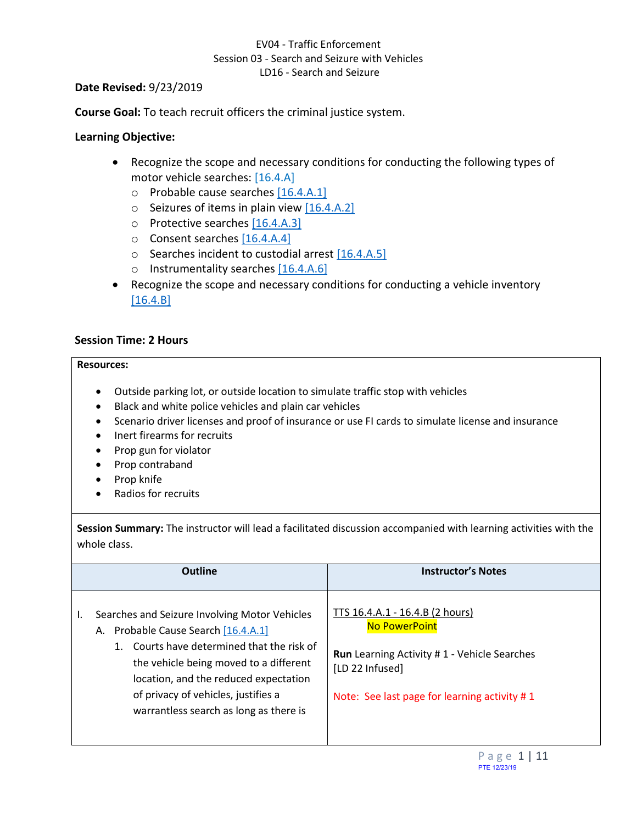#### **Date Revised:** 9/23/2019

**Course Goal:** To teach recruit officers the criminal justice system.

## **Learning Objective:**

- <span id="page-0-3"></span><span id="page-0-2"></span><span id="page-0-1"></span>• Recognize the scope and necessary conditions for conducting the following types of motor vehicle searches: [16.4.A]
	- $\circ$  Probable cause searches  $[16.4.A.1]$
	- $\circ$  Seizures of items in plain view [\[16.4.A.2\]](#page-1-0)
	- o Protective searches [\[16.4.A.3\]](#page-2-0)
	- o Consent searches [\[16.4.A.4\]](#page-3-0)
	- o Searches incident to custodial arrest [\[16.4.A.5\]](#page-3-1)
	- o Instrumentality searches [\[16.4.A.6\]](#page-5-0)
- <span id="page-0-7"></span><span id="page-0-6"></span><span id="page-0-5"></span><span id="page-0-4"></span>• Recognize the scope and necessary conditions for conducting a vehicle inventory [\[16.4.B\]](#page-5-1)

### **Session Time: 2 Hours**

#### **Resources:**

- Outside parking lot, or outside location to simulate traffic stop with vehicles
- Black and white police vehicles and plain car vehicles
- Scenario driver licenses and proof of insurance or use FI cards to simulate license and insurance
- Inert firearms for recruits
- Prop gun for violator
- Prop contraband
- Prop knife
- Radios for recruits

**Session Summary:** The instructor will lead a facilitated discussion accompanied with learning activities with the whole class.

<span id="page-0-0"></span>

| <b>Outline</b>                                                                                                                                                                                                                                                                                                  | <b>Instructor's Notes</b>                                                                                                                                                        |
|-----------------------------------------------------------------------------------------------------------------------------------------------------------------------------------------------------------------------------------------------------------------------------------------------------------------|----------------------------------------------------------------------------------------------------------------------------------------------------------------------------------|
| Searches and Seizure Involving Motor Vehicles<br>L.<br>A. Probable Cause Search [16.4.A.1]<br>Courts have determined that the risk of<br>1.<br>the vehicle being moved to a different<br>location, and the reduced expectation<br>of privacy of vehicles, justifies a<br>warrantless search as long as there is | TTS 16.4.A.1 - 16.4.B (2 hours)<br><b>No PowerPoint</b><br><b>Run</b> Learning Activity #1 - Vehicle Searches<br>[LD 22 Infused]<br>Note: See last page for learning activity #1 |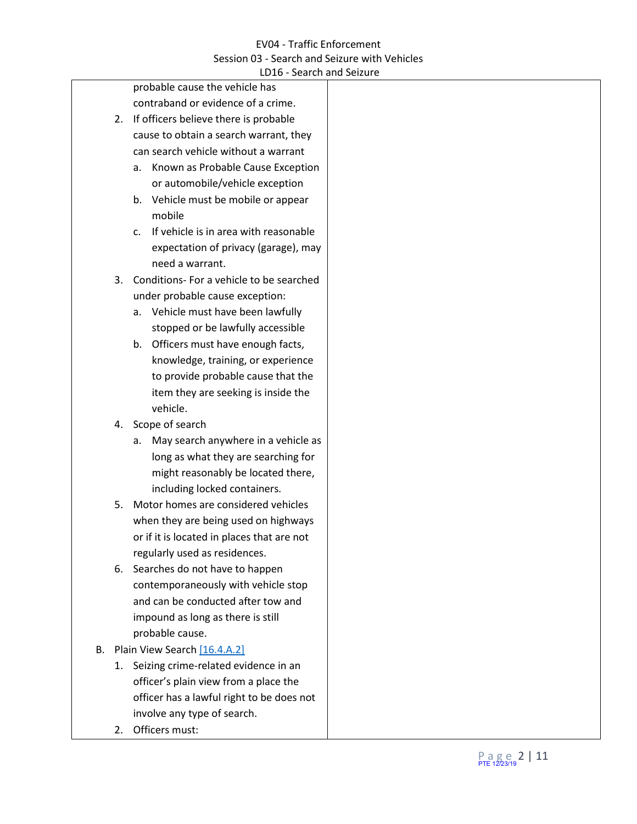|    |    | LDT0 - Search and Seizure                               |
|----|----|---------------------------------------------------------|
|    |    | probable cause the vehicle has                          |
|    |    | contraband or evidence of a crime.                      |
|    |    | 2. If officers believe there is probable                |
|    |    | cause to obtain a search warrant, they                  |
|    |    | can search vehicle without a warrant                    |
|    |    | Known as Probable Cause Exception<br>а.                 |
|    |    | or automobile/vehicle exception                         |
|    |    | b. Vehicle must be mobile or appear                     |
|    |    | mobile                                                  |
|    |    | If vehicle is in area with reasonable<br>C <sub>1</sub> |
|    |    | expectation of privacy (garage), may                    |
|    |    | need a warrant.                                         |
|    | 3. | Conditions- For a vehicle to be searched                |
|    |    | under probable cause exception:                         |
|    |    | a. Vehicle must have been lawfully                      |
|    |    | stopped or be lawfully accessible                       |
|    |    | b. Officers must have enough facts,                     |
|    |    | knowledge, training, or experience                      |
|    |    | to provide probable cause that the                      |
|    |    | item they are seeking is inside the                     |
|    |    | vehicle.                                                |
|    |    | 4. Scope of search                                      |
|    |    |                                                         |
|    |    | May search anywhere in a vehicle as<br>а.               |
|    |    | long as what they are searching for                     |
|    |    | might reasonably be located there,                      |
|    |    | including locked containers.                            |
|    | 5. | Motor homes are considered vehicles                     |
|    |    | when they are being used on highways                    |
|    |    | or if it is located in places that are not              |
|    |    | regularly used as residences.                           |
|    | 6. | Searches do not have to happen                          |
|    |    | contemporaneously with vehicle stop                     |
|    |    | and can be conducted after tow and                      |
|    |    | impound as long as there is still                       |
|    |    | probable cause.                                         |
| В. |    | Plain View Search [16.4.A.2]                            |
|    |    | 1. Seizing crime-related evidence in an                 |
|    |    | officer's plain view from a place the                   |
|    |    | officer has a lawful right to be does not               |
|    |    | involve any type of search.                             |
|    |    |                                                         |

<span id="page-1-0"></span>2. Officers must: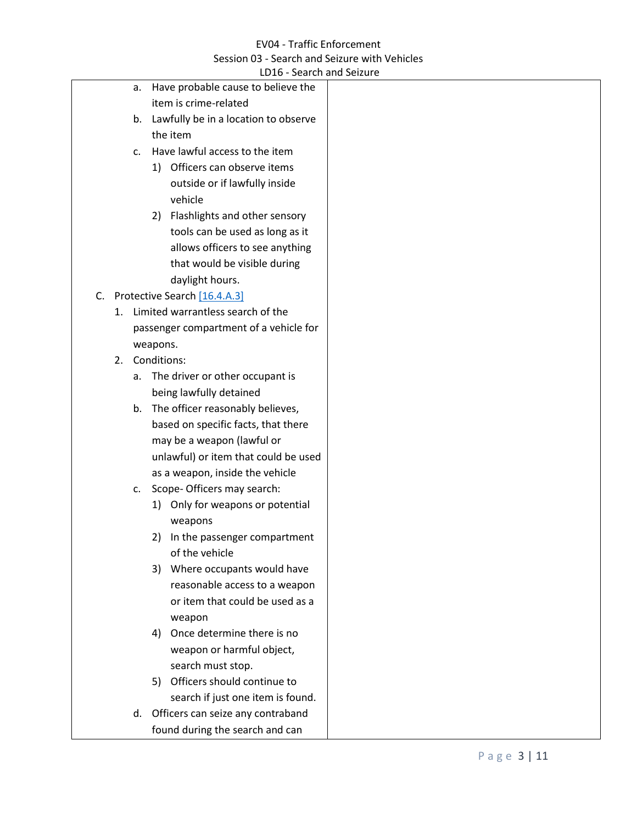<span id="page-2-0"></span>

|    |    |          | LD16 - Search and Seizure               |
|----|----|----------|-----------------------------------------|
|    | а. |          | Have probable cause to believe the      |
|    |    |          | item is crime-related                   |
|    |    |          | b. Lawfully be in a location to observe |
|    |    |          | the item                                |
|    | C. |          | Have lawful access to the item          |
|    |    |          | 1) Officers can observe items           |
|    |    |          | outside or if lawfully inside           |
|    |    |          | vehicle                                 |
|    |    | 2)       | Flashlights and other sensory           |
|    |    |          | tools can be used as long as it         |
|    |    |          | allows officers to see anything         |
|    |    |          | that would be visible during            |
|    |    |          | daylight hours.                         |
|    |    |          | C. Protective Search [16.4.A.3]         |
| 1. |    |          | Limited warrantless search of the       |
|    |    |          | passenger compartment of a vehicle for  |
|    |    | weapons. |                                         |
| 2. |    |          | Conditions:                             |
|    | a. |          | The driver or other occupant is         |
|    |    |          | being lawfully detained                 |
|    |    |          | b. The officer reasonably believes,     |
|    |    |          | based on specific facts, that there     |
|    |    |          | may be a weapon (lawful or              |
|    |    |          | unlawful) or item that could be used    |
|    |    |          | as a weapon, inside the vehicle         |
|    | c. |          | Scope-Officers may search:              |
|    |    |          | 1) Only for weapons or potential        |
|    |    |          | weapons                                 |
|    |    |          | 2) In the passenger compartment         |
|    |    |          | of the vehicle                          |
|    |    | 3)       | Where occupants would have              |
|    |    |          | reasonable access to a weapon           |
|    |    |          | or item that could be used as a         |
|    |    |          | weapon                                  |
|    |    | 4)       | Once determine there is no              |
|    |    |          | weapon or harmful object,               |
|    |    |          | search must stop.                       |
|    |    | 5)       | Officers should continue to             |
|    |    |          | search if just one item is found.       |
|    |    |          | d. Officers can seize any contraband    |
|    |    |          | found during the search and can         |
|    |    |          |                                         |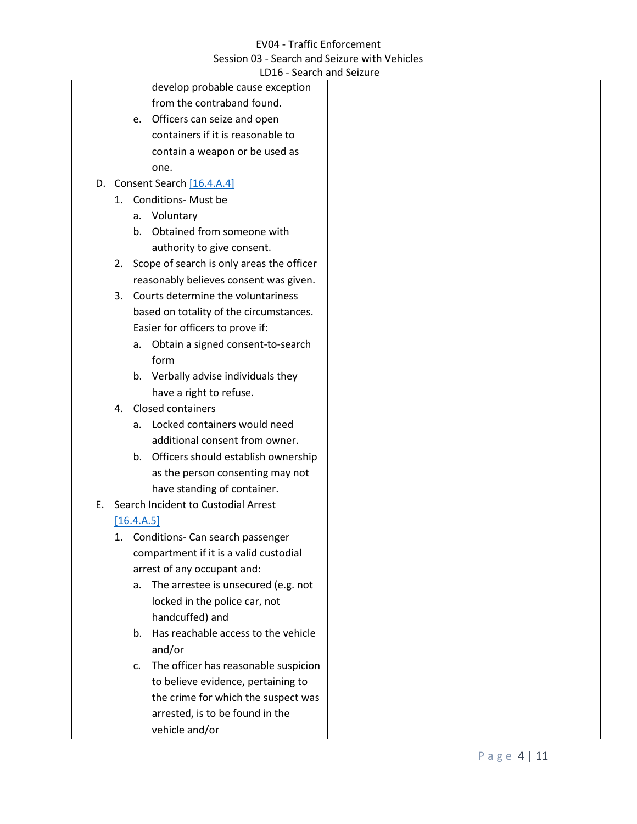# <span id="page-3-0"></span>EV04 - Traffic Enforcement Session 03 - Search and Seizure with Vehicles

<span id="page-3-1"></span>

|    |    |             | LD16 - Search and Seizure                    |  |
|----|----|-------------|----------------------------------------------|--|
|    |    |             | develop probable cause exception             |  |
|    |    |             | from the contraband found.                   |  |
|    |    | e.          | Officers can seize and open                  |  |
|    |    |             | containers if it is reasonable to            |  |
|    |    |             | contain a weapon or be used as               |  |
|    |    |             | one.                                         |  |
|    |    |             | D. Consent Search [16.4.A.4]                 |  |
|    |    |             | 1. Conditions- Must be                       |  |
|    |    |             | a. Voluntary                                 |  |
|    |    | b.          | Obtained from someone with                   |  |
|    |    |             | authority to give consent.                   |  |
|    |    |             | 2. Scope of search is only areas the officer |  |
|    |    |             | reasonably believes consent was given.       |  |
|    | 3. |             | Courts determine the voluntariness           |  |
|    |    |             | based on totality of the circumstances.      |  |
|    |    |             | Easier for officers to prove if:             |  |
|    |    | а.          | Obtain a signed consent-to-search            |  |
|    |    |             | form                                         |  |
|    |    |             | b. Verbally advise individuals they          |  |
|    |    |             | have a right to refuse.                      |  |
|    | 4. |             | Closed containers                            |  |
|    |    |             | a. Locked containers would need              |  |
|    |    |             | additional consent from owner.               |  |
|    |    |             | b. Officers should establish ownership       |  |
|    |    |             | as the person consenting may not             |  |
|    |    |             | have standing of container.                  |  |
| Е. |    |             | Search Incident to Custodial Arrest          |  |
|    |    | [16.4.A.5]  |                                              |  |
|    |    |             | Conditions- Can search passenger             |  |
|    |    |             | compartment if it is a valid custodial       |  |
|    |    |             | arrest of any occupant and:                  |  |
|    |    |             | a. The arrestee is unsecured (e.g. not       |  |
|    |    |             | locked in the police car, not                |  |
|    |    |             | handcuffed) and                              |  |
|    |    | $b_{\cdot}$ | Has reachable access to the vehicle          |  |
|    |    |             | and/or                                       |  |
|    |    | c.          | The officer has reasonable suspicion         |  |
|    |    |             | to believe evidence, pertaining to           |  |
|    |    |             | the crime for which the suspect was          |  |
|    |    |             | arrested, is to be found in the              |  |
|    |    |             | vehicle and/or                               |  |
|    |    |             |                                              |  |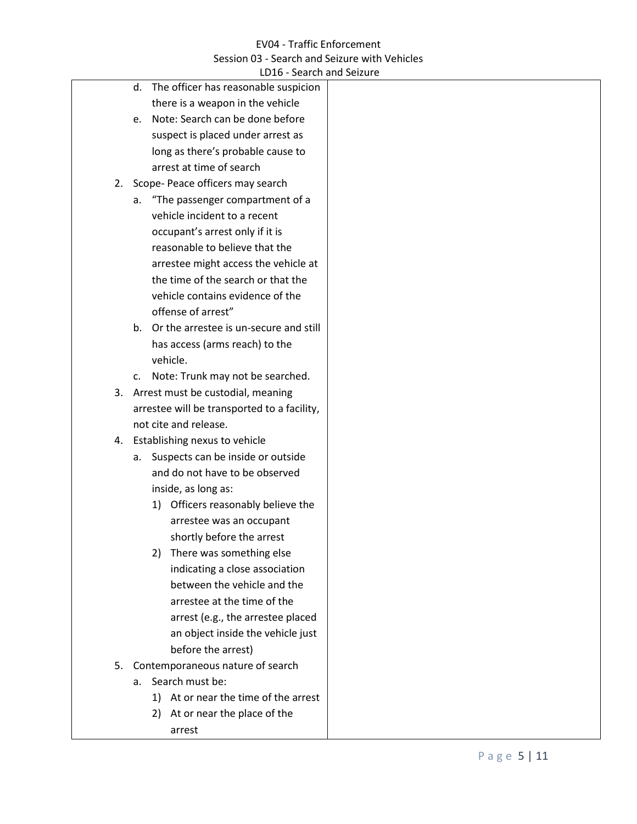|         | LD16 - Search and Seizure                   |
|---------|---------------------------------------------|
| d.      | The officer has reasonable suspicion        |
|         | there is a weapon in the vehicle            |
| $e_{1}$ | Note: Search can be done before             |
|         | suspect is placed under arrest as           |
|         | long as there's probable cause to           |
|         | arrest at time of search                    |
|         | 2. Scope- Peace officers may search         |
| а.      | "The passenger compartment of a             |
|         | vehicle incident to a recent                |
|         | occupant's arrest only if it is             |
|         | reasonable to believe that the              |
|         | arrestee might access the vehicle at        |
|         | the time of the search or that the          |
|         | vehicle contains evidence of the            |
|         | offense of arrest"                          |
|         | b. Or the arrestee is un-secure and still   |
|         | has access (arms reach) to the              |
|         | vehicle.                                    |
|         | c. Note: Trunk may not be searched.         |
|         | 3. Arrest must be custodial, meaning        |
|         | arrestee will be transported to a facility, |
|         | not cite and release.                       |
|         | 4. Establishing nexus to vehicle            |
|         | a. Suspects can be inside or outside        |
|         | and do not have to be observed              |
|         | inside, as long as:                         |
|         | 1) Officers reasonably believe the          |
|         | arrestee was an occupant                    |
|         | shortly before the arrest                   |
| 2)      | There was something else                    |
|         | indicating a close association              |
|         | between the vehicle and the                 |
|         | arrestee at the time of the                 |
|         | arrest (e.g., the arrestee placed           |
|         | an object inside the vehicle just           |
|         | before the arrest)                          |
|         | 5. Contemporaneous nature of search         |
| a.      | Search must be:                             |
| 1)      | At or near the time of the arrest           |
| 2)      | At or near the place of the                 |
|         |                                             |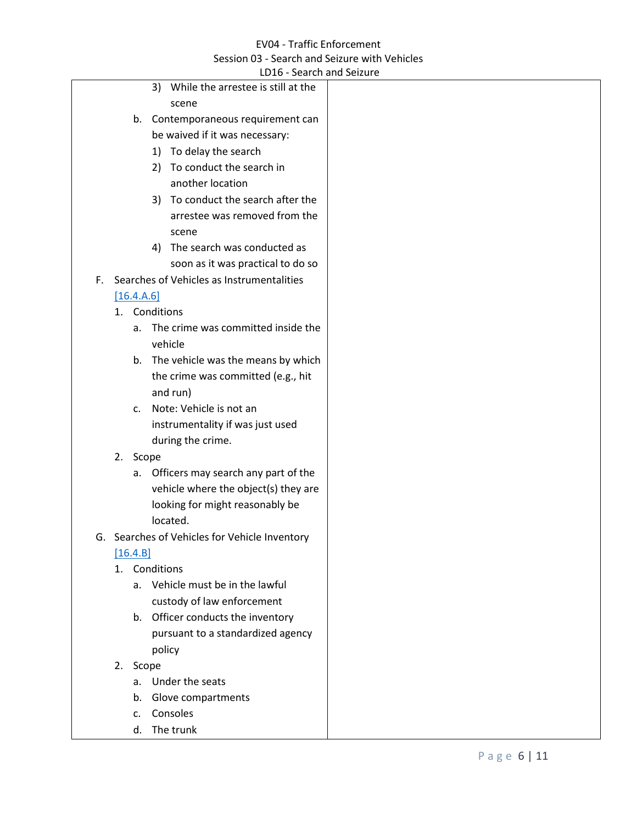<span id="page-5-1"></span><span id="page-5-0"></span>

|    |    | LDT0 - Search and Seizure                    |  |
|----|----|----------------------------------------------|--|
|    |    | While the arrestee is still at the<br>3)     |  |
|    |    | scene                                        |  |
|    |    | b. Contemporaneous requirement can           |  |
|    |    | be waived if it was necessary:               |  |
|    |    | To delay the search<br>1)                    |  |
|    |    | To conduct the search in<br>2)               |  |
|    |    | another location                             |  |
|    |    | To conduct the search after the<br>3)        |  |
|    |    | arrestee was removed from the                |  |
|    |    | scene                                        |  |
|    |    | The search was conducted as<br>4)            |  |
|    |    | soon as it was practical to do so            |  |
|    |    | F. Searches of Vehicles as Instrumentalities |  |
|    |    | [16.4.A.6]                                   |  |
|    | 1. | Conditions                                   |  |
|    |    | The crime was committed inside the<br>а.     |  |
|    |    | vehicle                                      |  |
|    |    | b. The vehicle was the means by which        |  |
|    |    | the crime was committed (e.g., hit           |  |
|    |    | and run)                                     |  |
|    |    | Note: Vehicle is not an<br>$\mathsf{C}$ .    |  |
|    |    | instrumentality if was just used             |  |
|    |    | during the crime.                            |  |
|    |    | 2. Scope                                     |  |
|    |    | Officers may search any part of the<br>а.    |  |
|    |    | vehicle where the object(s) they are         |  |
|    |    | looking for might reasonably be              |  |
|    |    | located.                                     |  |
| G. |    | Searches of Vehicles for Vehicle Inventory   |  |
|    |    | $[16.4B]$                                    |  |
|    |    | 1. Conditions                                |  |
|    |    | a. Vehicle must be in the lawful             |  |
|    |    | custody of law enforcement                   |  |
|    |    | b. Officer conducts the inventory            |  |
|    |    | pursuant to a standardized agency            |  |
|    |    | policy                                       |  |
|    |    | 2. Scope                                     |  |
|    |    | a. Under the seats                           |  |
|    |    | Glove compartments<br>b.                     |  |
|    |    | Consoles<br>C.                               |  |
|    |    | d. The trunk                                 |  |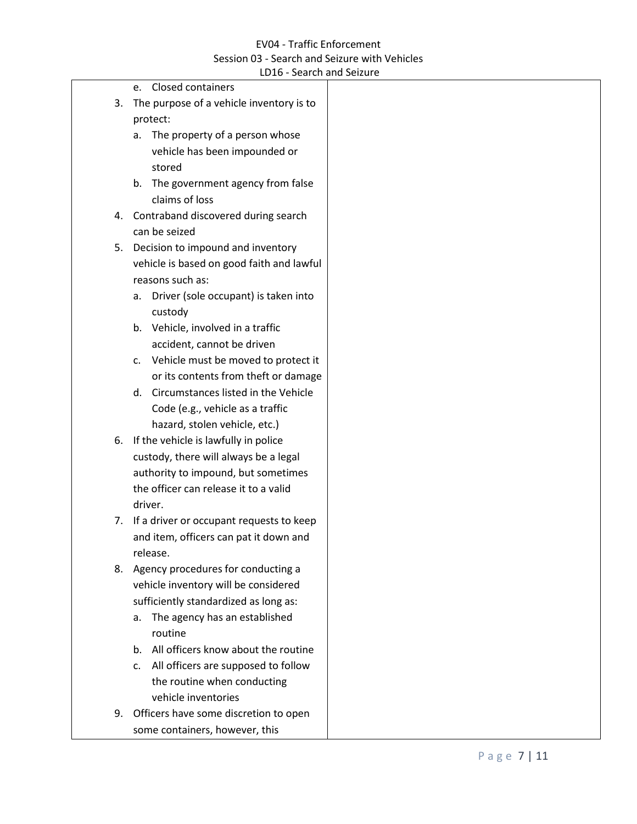|    | LD IV - SEATUT ANU SEIZUI E                |
|----|--------------------------------------------|
|    | e. Closed containers                       |
| 3. | The purpose of a vehicle inventory is to   |
|    | protect:                                   |
|    | a. The property of a person whose          |
|    | vehicle has been impounded or              |
|    | stored                                     |
|    | b. The government agency from false        |
|    | claims of loss                             |
| 4. | Contraband discovered during search        |
|    | can be seized                              |
| 5. | Decision to impound and inventory          |
|    | vehicle is based on good faith and lawful  |
|    | reasons such as:                           |
|    | Driver (sole occupant) is taken into<br>а. |
|    | custody                                    |
|    | b. Vehicle, involved in a traffic          |
|    | accident, cannot be driven                 |
|    | c. Vehicle must be moved to protect it     |
|    | or its contents from theft or damage       |
|    | d. Circumstances listed in the Vehicle     |
|    | Code (e.g., vehicle as a traffic           |
|    | hazard, stolen vehicle, etc.)              |
| 6. | If the vehicle is lawfully in police       |
|    | custody, there will always be a legal      |
|    | authority to impound, but sometimes        |
|    | the officer can release it to a valid      |
|    | driver.                                    |
| 7. | If a driver or occupant requests to keep   |
|    | and item, officers can pat it down and     |
|    | release.                                   |
| 8. | Agency procedures for conducting a         |
|    | vehicle inventory will be considered       |
|    | sufficiently standardized as long as:      |
|    | The agency has an established<br>a.        |
|    | routine                                    |
|    | b. All officers know about the routine     |
|    | c. All officers are supposed to follow     |
|    | the routine when conducting                |
|    | vehicle inventories                        |
| 9. | Officers have some discretion to open      |
|    | some containers, however, this             |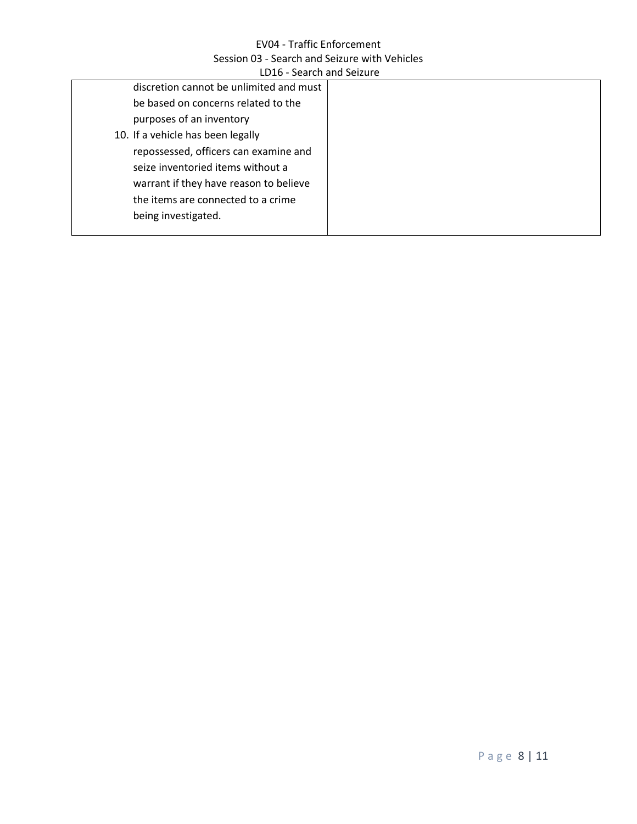| LDIO - SCAILII ANU SCILUIC              |  |  |  |
|-----------------------------------------|--|--|--|
| discretion cannot be unlimited and must |  |  |  |
| be based on concerns related to the     |  |  |  |
| purposes of an inventory                |  |  |  |
| 10. If a vehicle has been legally       |  |  |  |
| repossessed, officers can examine and   |  |  |  |
| seize inventoried items without a       |  |  |  |
| warrant if they have reason to believe  |  |  |  |
| the items are connected to a crime      |  |  |  |
| being investigated.                     |  |  |  |
|                                         |  |  |  |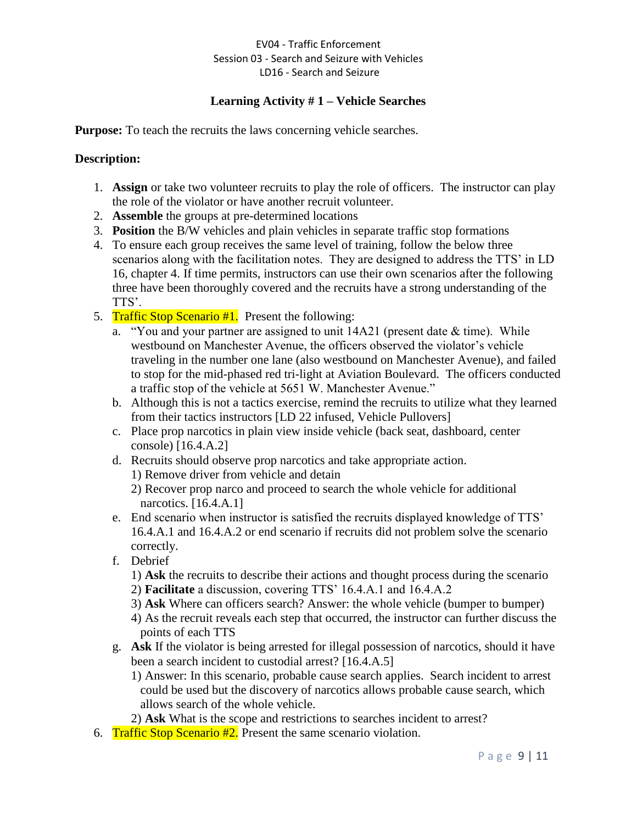## **Learning Activity # 1 – Vehicle Searches**

**Purpose:** To teach the recruits the laws concerning vehicle searches.

## **Description:**

- 1. **Assign** or take two volunteer recruits to play the role of officers. The instructor can play the role of the violator or have another recruit volunteer.
- 2. **Assemble** the groups at pre-determined locations
- 3. **Position** the B/W vehicles and plain vehicles in separate traffic stop formations
- 4. To ensure each group receives the same level of training, follow the below three scenarios along with the facilitation notes. They are designed to address the TTS' in LD 16, chapter 4. If time permits, instructors can use their own scenarios after the following three have been thoroughly covered and the recruits have a strong understanding of the TTS'.
- 5. Traffic Stop Scenario #1. Present the following:
	- a. "You and your partner are assigned to unit 14A21 (present date & time). While westbound on Manchester Avenue, the officers observed the violator's vehicle traveling in the number one lane (also westbound on Manchester Avenue), and failed to stop for the mid-phased red tri-light at Aviation Boulevard. The officers conducted a traffic stop of the vehicle at 5651 W. Manchester Avenue."
	- b. Although this is not a tactics exercise, remind the recruits to utilize what they learned from their tactics instructors [LD 22 infused, Vehicle Pullovers]
	- c. Place prop narcotics in plain view inside vehicle (back seat, dashboard, center console) [16.4.A.2]
	- d. Recruits should observe prop narcotics and take appropriate action.

1) Remove driver from vehicle and detain

2) Recover prop narco and proceed to search the whole vehicle for additional narcotics. [16.4.A.1]

- e. End scenario when instructor is satisfied the recruits displayed knowledge of TTS' 16.4.A.1 and 16.4.A.2 or end scenario if recruits did not problem solve the scenario correctly.
- f. Debrief
	- 1) **Ask** the recruits to describe their actions and thought process during the scenario
	- 2) **Facilitate** a discussion, covering TTS' 16.4.A.1 and 16.4.A.2
	- 3) **Ask** Where can officers search? Answer: the whole vehicle (bumper to bumper)
	- 4) As the recruit reveals each step that occurred, the instructor can further discuss the points of each TTS
- g. **Ask** If the violator is being arrested for illegal possession of narcotics, should it have been a search incident to custodial arrest? [16.4.A.5]
	- 1) Answer: In this scenario, probable cause search applies. Search incident to arrest could be used but the discovery of narcotics allows probable cause search, which allows search of the whole vehicle.
	- 2) **Ask** What is the scope and restrictions to searches incident to arrest?
- 6. Traffic Stop Scenario #2. Present the same scenario violation.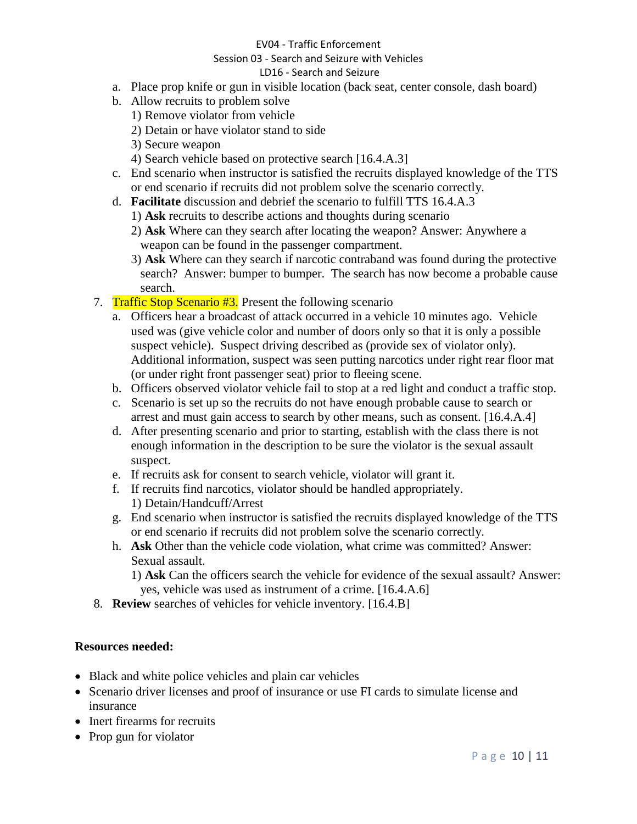### EV04 - Traffic Enforcement

## Session 03 - Search and Seizure with Vehicles

## LD16 - Search and Seizure

- a. Place prop knife or gun in visible location (back seat, center console, dash board)
- b. Allow recruits to problem solve
	- 1) Remove violator from vehicle
	- 2) Detain or have violator stand to side
	- 3) Secure weapon
	- 4) Search vehicle based on protective search [16.4.A.3]
- c. End scenario when instructor is satisfied the recruits displayed knowledge of the TTS or end scenario if recruits did not problem solve the scenario correctly.
- d. **Facilitate** discussion and debrief the scenario to fulfill TTS 16.4.A.3
	- 1) **Ask** recruits to describe actions and thoughts during scenario
	- 2) **Ask** Where can they search after locating the weapon? Answer: Anywhere a weapon can be found in the passenger compartment.
	- 3) **Ask** Where can they search if narcotic contraband was found during the protective search? Answer: bumper to bumper. The search has now become a probable cause search.
- 7. Traffic Stop Scenario #3. Present the following scenario
	- a. Officers hear a broadcast of attack occurred in a vehicle 10 minutes ago. Vehicle used was (give vehicle color and number of doors only so that it is only a possible suspect vehicle). Suspect driving described as (provide sex of violator only). Additional information, suspect was seen putting narcotics under right rear floor mat (or under right front passenger seat) prior to fleeing scene.
	- b. Officers observed violator vehicle fail to stop at a red light and conduct a traffic stop.
	- c. Scenario is set up so the recruits do not have enough probable cause to search or arrest and must gain access to search by other means, such as consent. [16.4.A.4]
	- d. After presenting scenario and prior to starting, establish with the class there is not enough information in the description to be sure the violator is the sexual assault suspect.
	- e. If recruits ask for consent to search vehicle, violator will grant it.
	- f. If recruits find narcotics, violator should be handled appropriately. 1) Detain/Handcuff/Arrest
	- g. End scenario when instructor is satisfied the recruits displayed knowledge of the TTS or end scenario if recruits did not problem solve the scenario correctly.
	- h. **Ask** Other than the vehicle code violation, what crime was committed? Answer: Sexual assault.

1) **Ask** Can the officers search the vehicle for evidence of the sexual assault? Answer: yes, vehicle was used as instrument of a crime. [16.4.A.6]

8. **Review** searches of vehicles for vehicle inventory. [16.4.B]

## **Resources needed:**

- Black and white police vehicles and plain car vehicles
- Scenario driver licenses and proof of insurance or use FI cards to simulate license and insurance
- Inert firearms for recruits
- Prop gun for violator